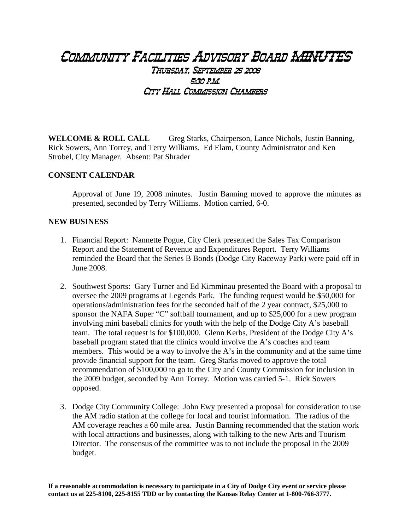## Community Facilities Advisory Board MINUTES Thursday, September 25 2008 5:30 p.m. City Hall Commission Chambers

**WELCOME & ROLL CALL** Greg Starks, Chairperson, Lance Nichols, Justin Banning, Rick Sowers, Ann Torrey, and Terry Williams. Ed Elam, County Administrator and Ken Strobel, City Manager. Absent: Pat Shrader

## **CONSENT CALENDAR**

Approval of June 19, 2008 minutes. Justin Banning moved to approve the minutes as presented, seconded by Terry Williams. Motion carried, 6-0.

## **NEW BUSINESS**

- 1. Financial Report: Nannette Pogue, City Clerk presented the Sales Tax Comparison Report and the Statement of Revenue and Expenditures Report. Terry Williams reminded the Board that the Series B Bonds (Dodge City Raceway Park) were paid off in June 2008.
- 2. Southwest Sports: Gary Turner and Ed Kimminau presented the Board with a proposal to oversee the 2009 programs at Legends Park. The funding request would be \$50,000 for operations/administration fees for the seconded half of the 2 year contract, \$25,000 to sponsor the NAFA Super "C" softball tournament, and up to \$25,000 for a new program involving mini baseball clinics for youth with the help of the Dodge City A's baseball team. The total request is for \$100,000. Glenn Kerbs, President of the Dodge City A's baseball program stated that the clinics would involve the A's coaches and team members. This would be a way to involve the A's in the community and at the same time provide financial support for the team. Greg Starks moved to approve the total recommendation of \$100,000 to go to the City and County Commission for inclusion in the 2009 budget, seconded by Ann Torrey. Motion was carried 5-1. Rick Sowers opposed.
- 3. Dodge City Community College: John Ewy presented a proposal for consideration to use the AM radio station at the college for local and tourist information. The radius of the AM coverage reaches a 60 mile area. Justin Banning recommended that the station work with local attractions and businesses, along with talking to the new Arts and Tourism Director. The consensus of the committee was to not include the proposal in the 2009 budget.

**If a reasonable accommodation is necessary to participate in a City of Dodge City event or service please contact us at 225-8100, 225-8155 TDD or by contacting the Kansas Relay Center at 1-800-766-3777.**